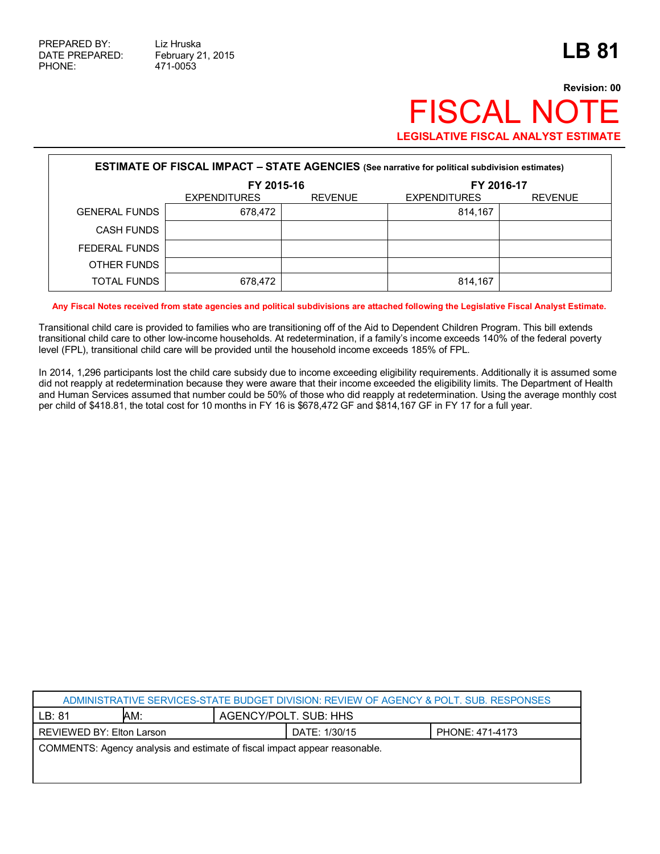## **Revision: 00** FISCAL NOTE **LEGISLATIVE FISCAL ANALYST ESTIMATE**

| <b>ESTIMATE OF FISCAL IMPACT - STATE AGENCIES</b> (See narrative for political subdivision estimates) |                     |                |                     |                |  |  |  |
|-------------------------------------------------------------------------------------------------------|---------------------|----------------|---------------------|----------------|--|--|--|
|                                                                                                       | FY 2015-16          |                | FY 2016-17          |                |  |  |  |
|                                                                                                       | <b>EXPENDITURES</b> | <b>REVENUE</b> | <b>EXPENDITURES</b> | <b>REVENUE</b> |  |  |  |
| <b>GENERAL FUNDS</b>                                                                                  | 678,472             |                | 814.167             |                |  |  |  |
| <b>CASH FUNDS</b>                                                                                     |                     |                |                     |                |  |  |  |
| FEDERAL FUNDS                                                                                         |                     |                |                     |                |  |  |  |
| OTHER FUNDS                                                                                           |                     |                |                     |                |  |  |  |
| <b>TOTAL FUNDS</b>                                                                                    | 678,472             |                | 814.167             |                |  |  |  |

**Any Fiscal Notes received from state agencies and political subdivisions are attached following the Legislative Fiscal Analyst Estimate.**

Transitional child care is provided to families who are transitioning off of the Aid to Dependent Children Program. This bill extends transitional child care to other low-income households. At redetermination, if a family's income exceeds 140% of the federal poverty level (FPL), transitional child care will be provided until the household income exceeds 185% of FPL.

In 2014, 1,296 participants lost the child care subsidy due to income exceeding eligibility requirements. Additionally it is assumed some did not reapply at redetermination because they were aware that their income exceeded the eligibility limits. The Department of Health and Human Services assumed that number could be 50% of those who did reapply at redetermination. Using the average monthly cost per child of \$418.81, the total cost for 10 months in FY 16 is \$678,472 GF and \$814,167 GF in FY 17 for a full year.

| ADMINISTRATIVE SERVICES-STATE BUDGET DIVISION: REVIEW OF AGENCY & POLT. SUB. RESPONSES |     |                       |                 |  |  |  |
|----------------------------------------------------------------------------------------|-----|-----------------------|-----------------|--|--|--|
| LB:81                                                                                  | AM: | AGENCY/POLT. SUB: HHS |                 |  |  |  |
| REVIEWED BY: Elton Larson                                                              |     | DATE: 1/30/15         | PHONE: 471-4173 |  |  |  |
| COMMENTS: Agency analysis and estimate of fiscal impact appear reasonable.             |     |                       |                 |  |  |  |
|                                                                                        |     |                       |                 |  |  |  |
|                                                                                        |     |                       |                 |  |  |  |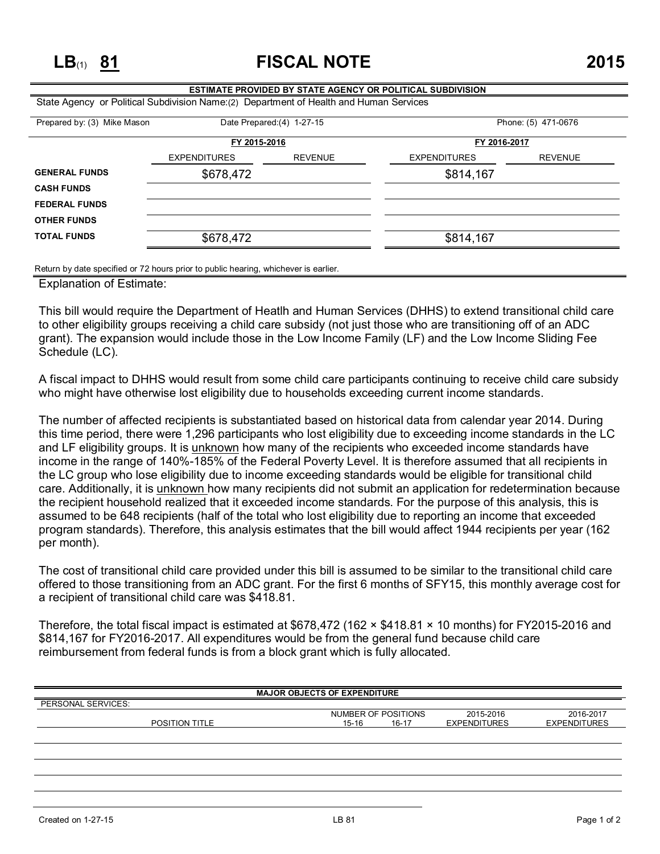**LB**(1) **81 FISCAL NOTE 2015**

## **ESTIMATE PROVIDED BY STATE AGENCY OR POLITICAL SUBDIVISION** State Agency or Political Subdivision Name:(2) Department of Health and Human Services Prepared by: (3) Mike Mason Date Prepared:(4) 1-27-15 Phone: (5) 471-0676 **FY 2015-2016 FY 2016-2017** EXPENDITURES REVENUE EXPENDITURES REVENUE **GENERAL FUNDS** \$678,472 \$814,167 **CASH FUNDS FEDERAL FUNDS OTHER FUNDS**

Return by date specified or 72 hours prior to public hearing, whichever is earlier.

**TOTAL FUNDS** \$678,472 \$814,167

Explanation of Estimate:

This bill would require the Department of Heatlh and Human Services (DHHS) to extend transitional child care to other eligibility groups receiving a child care subsidy (not just those who are transitioning off of an ADC grant). The expansion would include those in the Low Income Family (LF) and the Low Income Sliding Fee Schedule (LC).

A fiscal impact to DHHS would result from some child care participants continuing to receive child care subsidy who might have otherwise lost eligibility due to households exceeding current income standards.

The number of affected recipients is substantiated based on historical data from calendar year 2014. During this time period, there were 1,296 participants who lost eligibility due to exceeding income standards in the LC and LF eligibility groups. It is unknown how many of the recipients who exceeded income standards have income in the range of 140%-185% of the Federal Poverty Level. It is therefore assumed that all recipients in the LC group who lose eligibility due to income exceeding standards would be eligible for transitional child care. Additionally, it is unknown how many recipients did not submit an application for redetermination because the recipient household realized that it exceeded income standards. For the purpose of this analysis, this is assumed to be 648 recipients (half of the total who lost eligibility due to reporting an income that exceeded program standards). Therefore, this analysis estimates that the bill would affect 1944 recipients per year (162 per month).

The cost of transitional child care provided under this bill is assumed to be similar to the transitional child care offered to those transitioning from an ADC grant. For the first 6 months of SFY15, this monthly average cost for a recipient of transitional child care was \$418.81.

Therefore, the total fiscal impact is estimated at \$678,472 (162 × \$418.81 × 10 months) for FY2015-2016 and \$814,167 for FY2016-2017. All expenditures would be from the general fund because child care reimbursement from federal funds is from a block grant which is fully allocated.

| <b>MAJOR OBJECTS OF EXPENDITURE</b> |                     |                     |                     |  |  |  |  |
|-------------------------------------|---------------------|---------------------|---------------------|--|--|--|--|
| PERSONAL SERVICES:                  |                     |                     |                     |  |  |  |  |
|                                     |                     |                     |                     |  |  |  |  |
|                                     | NUMBER OF POSITIONS | 2015-2016           | 2016-2017           |  |  |  |  |
| <b>POSITION TITLE</b>               | 15-16<br>$16-17$    | <b>EXPENDITURES</b> | <b>EXPENDITURES</b> |  |  |  |  |
|                                     |                     |                     |                     |  |  |  |  |
|                                     |                     |                     |                     |  |  |  |  |
|                                     |                     |                     |                     |  |  |  |  |
|                                     |                     |                     |                     |  |  |  |  |
|                                     |                     |                     |                     |  |  |  |  |
|                                     |                     |                     |                     |  |  |  |  |
|                                     |                     |                     |                     |  |  |  |  |
|                                     |                     |                     |                     |  |  |  |  |
|                                     |                     |                     |                     |  |  |  |  |